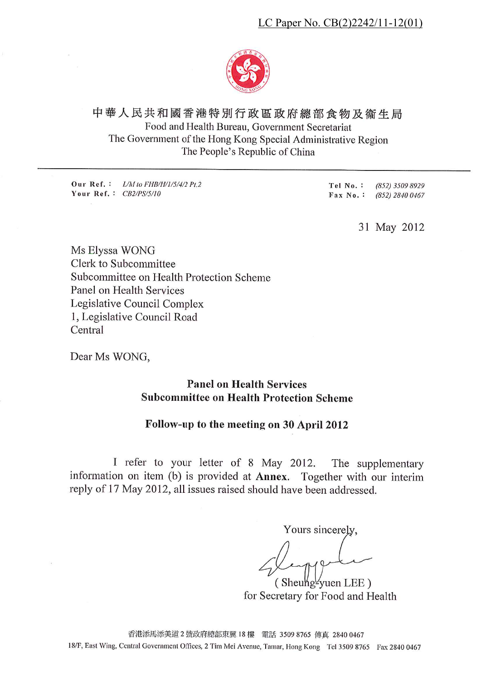

# 中華人民共和國香港特別行政區政府總部食物及衛生局 Food and Health Bureau, Government Secretariat The Government of the Hong Kong Special Administrative Region The People's Republic of China

Our Ref.: L/M to FHB/H/1/5/4/2 Pt.2 Your Ref.:  $CB2/PS/5/10$ 

Tel No.: (852) 3509 8929 Fax No.: (852) 2840 0467

31 May 2012

Ms Elyssa WONG Clerk to Subcommittee Subcommittee on Health Protection Scheme Panel on Health Services Legislative Council Complex 1, Legislative Council Road Central

Dear Ms WONG,

**Panel on Health Services Subcommittee on Health Protection Scheme** 

#### Follow-up to the meeting on 30 April 2012

I refer to your letter of 8 May 2012. The supplementary information on item (b) is provided at Annex. Together with our interim reply of 17 May 2012, all issues raised should have been addressed.

Yours sincerely,

(Sheuhg-yuen LEE) for Secretary for Food and Health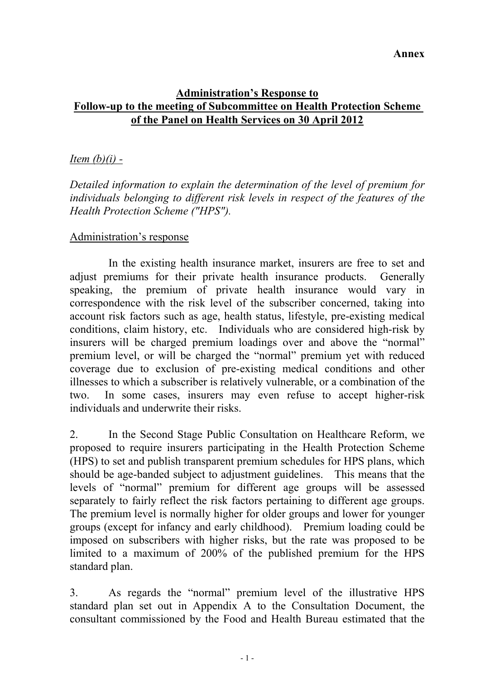# **Administration's Response to Follow-up to the meeting of Subcommittee on Health Protection Scheme of the Panel on Health Services on 30 April 2012**

## *Item (b)(i) -*

*Detailed information to explain the determination of the level of premium for individuals belonging to different risk levels in respect of the features of the Health Protection Scheme ("HPS").* 

#### Administration's response

In the existing health insurance market, insurers are free to set and adjust premiums for their private health insurance products. Generally speaking, the premium of private health insurance would vary in correspondence with the risk level of the subscriber concerned, taking into account risk factors such as age, health status, lifestyle, pre-existing medical conditions, claim history, etc. Individuals who are considered high-risk by insurers will be charged premium loadings over and above the "normal" premium level, or will be charged the "normal" premium yet with reduced coverage due to exclusion of pre-existing medical conditions and other illnesses to which a subscriber is relatively vulnerable, or a combination of the two. In some cases, insurers may even refuse to accept higher-risk individuals and underwrite their risks.

2. In the Second Stage Public Consultation on Healthcare Reform, we proposed to require insurers participating in the Health Protection Scheme (HPS) to set and publish transparent premium schedules for HPS plans, which should be age-banded subject to adjustment guidelines. This means that the levels of "normal" premium for different age groups will be assessed separately to fairly reflect the risk factors pertaining to different age groups. The premium level is normally higher for older groups and lower for younger groups (except for infancy and early childhood). Premium loading could be imposed on subscribers with higher risks, but the rate was proposed to be limited to a maximum of 200% of the published premium for the HPS standard plan.

3. As regards the "normal" premium level of the illustrative HPS standard plan set out in Appendix A to the Consultation Document, the consultant commissioned by the Food and Health Bureau estimated that the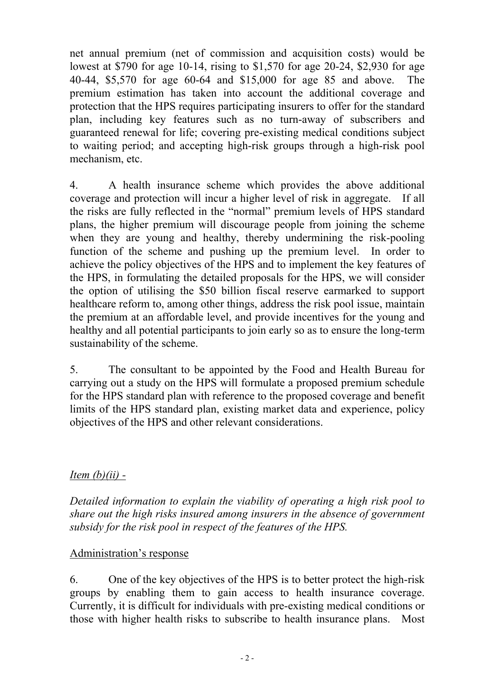net annual premium (net of commission and acquisition costs) would be lowest at \$790 for age 10-14, rising to \$1,570 for age 20-24, \$2,930 for age 40-44, \$5,570 for age 60-64 and \$15,000 for age 85 and above. The premium estimation has taken into account the additional coverage and protection that the HPS requires participating insurers to offer for the standard plan, including key features such as no turn-away of subscribers and guaranteed renewal for life; covering pre-existing medical conditions subject to waiting period; and accepting high-risk groups through a high-risk pool mechanism, etc.

4. A health insurance scheme which provides the above additional coverage and protection will incur a higher level of risk in aggregate. If all the risks are fully reflected in the "normal" premium levels of HPS standard plans, the higher premium will discourage people from joining the scheme when they are young and healthy, thereby undermining the risk-pooling function of the scheme and pushing up the premium level. In order to achieve the policy objectives of the HPS and to implement the key features of the HPS, in formulating the detailed proposals for the HPS, we will consider the option of utilising the \$50 billion fiscal reserve earmarked to support healthcare reform to, among other things, address the risk pool issue, maintain the premium at an affordable level, and provide incentives for the young and healthy and all potential participants to join early so as to ensure the long-term sustainability of the scheme.

5. The consultant to be appointed by the Food and Health Bureau for carrying out a study on the HPS will formulate a proposed premium schedule for the HPS standard plan with reference to the proposed coverage and benefit limits of the HPS standard plan, existing market data and experience, policy objectives of the HPS and other relevant considerations.

# *Item (b)(ii) -*

*Detailed information to explain the viability of operating a high risk pool to share out the high risks insured among insurers in the absence of government subsidy for the risk pool in respect of the features of the HPS.* 

### Administration's response

6. One of the key objectives of the HPS is to better protect the high-risk groups by enabling them to gain access to health insurance coverage. Currently, it is difficult for individuals with pre-existing medical conditions or those with higher health risks to subscribe to health insurance plans. Most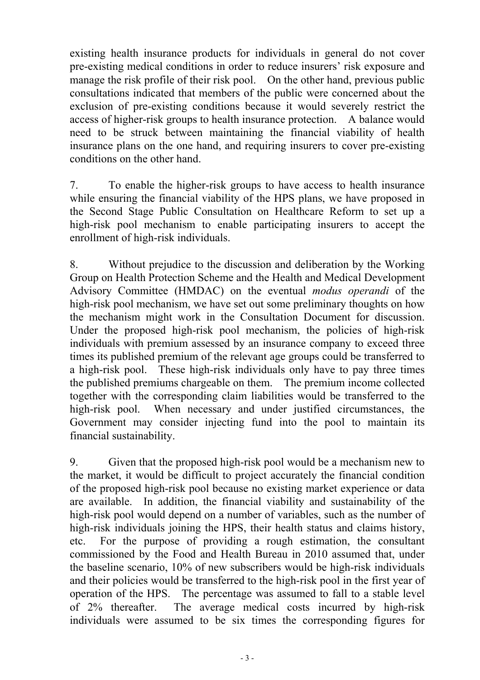existing health insurance products for individuals in general do not cover pre-existing medical conditions in order to reduce insurers' risk exposure and manage the risk profile of their risk pool. On the other hand, previous public consultations indicated that members of the public were concerned about the exclusion of pre-existing conditions because it would severely restrict the access of higher-risk groups to health insurance protection. A balance would need to be struck between maintaining the financial viability of health insurance plans on the one hand, and requiring insurers to cover pre-existing conditions on the other hand.

7. To enable the higher-risk groups to have access to health insurance while ensuring the financial viability of the HPS plans, we have proposed in the Second Stage Public Consultation on Healthcare Reform to set up a high-risk pool mechanism to enable participating insurers to accept the enrollment of high-risk individuals.

8. Without prejudice to the discussion and deliberation by the Working Group on Health Protection Scheme and the Health and Medical Development Advisory Committee (HMDAC) on the eventual *modus operandi* of the high-risk pool mechanism, we have set out some preliminary thoughts on how the mechanism might work in the Consultation Document for discussion. Under the proposed high-risk pool mechanism, the policies of high-risk individuals with premium assessed by an insurance company to exceed three times its published premium of the relevant age groups could be transferred to a high-risk pool. These high-risk individuals only have to pay three times the published premiums chargeable on them. The premium income collected together with the corresponding claim liabilities would be transferred to the high-risk pool. When necessary and under justified circumstances, the Government may consider injecting fund into the pool to maintain its financial sustainability.

9. Given that the proposed high-risk pool would be a mechanism new to the market, it would be difficult to project accurately the financial condition of the proposed high-risk pool because no existing market experience or data are available. In addition, the financial viability and sustainability of the high-risk pool would depend on a number of variables, such as the number of high-risk individuals joining the HPS, their health status and claims history, etc. For the purpose of providing a rough estimation, the consultant commissioned by the Food and Health Bureau in 2010 assumed that, under the baseline scenario, 10% of new subscribers would be high-risk individuals and their policies would be transferred to the high-risk pool in the first year of operation of the HPS. The percentage was assumed to fall to a stable level of 2% thereafter. The average medical costs incurred by high-risk individuals were assumed to be six times the corresponding figures for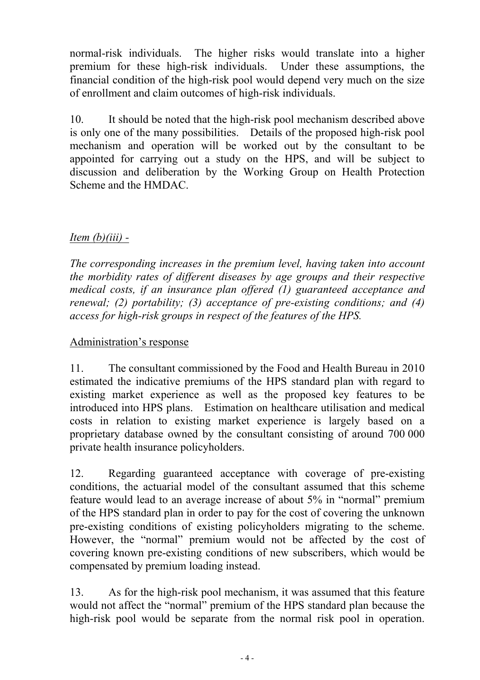normal-risk individuals. The higher risks would translate into a higher premium for these high-risk individuals. Under these assumptions, the financial condition of the high-risk pool would depend very much on the size of enrollment and claim outcomes of high-risk individuals.

10. It should be noted that the high-risk pool mechanism described above is only one of the many possibilities. Details of the proposed high-risk pool mechanism and operation will be worked out by the consultant to be appointed for carrying out a study on the HPS, and will be subject to discussion and deliberation by the Working Group on Health Protection Scheme and the HMDAC.

# *Item (b)(iii) -*

*The corresponding increases in the premium level, having taken into account the morbidity rates of different diseases by age groups and their respective medical costs, if an insurance plan offered (1) guaranteed acceptance and renewal; (2) portability; (3) acceptance of pre-existing conditions; and (4) access for high-risk groups in respect of the features of the HPS.* 

# Administration's response

11. The consultant commissioned by the Food and Health Bureau in 2010 estimated the indicative premiums of the HPS standard plan with regard to existing market experience as well as the proposed key features to be introduced into HPS plans. Estimation on healthcare utilisation and medical costs in relation to existing market experience is largely based on a proprietary database owned by the consultant consisting of around 700 000 private health insurance policyholders.

12. Regarding guaranteed acceptance with coverage of pre-existing conditions, the actuarial model of the consultant assumed that this scheme feature would lead to an average increase of about 5% in "normal" premium of the HPS standard plan in order to pay for the cost of covering the unknown pre-existing conditions of existing policyholders migrating to the scheme. However, the "normal" premium would not be affected by the cost of covering known pre-existing conditions of new subscribers, which would be compensated by premium loading instead.

13. As for the high-risk pool mechanism, it was assumed that this feature would not affect the "normal" premium of the HPS standard plan because the high-risk pool would be separate from the normal risk pool in operation.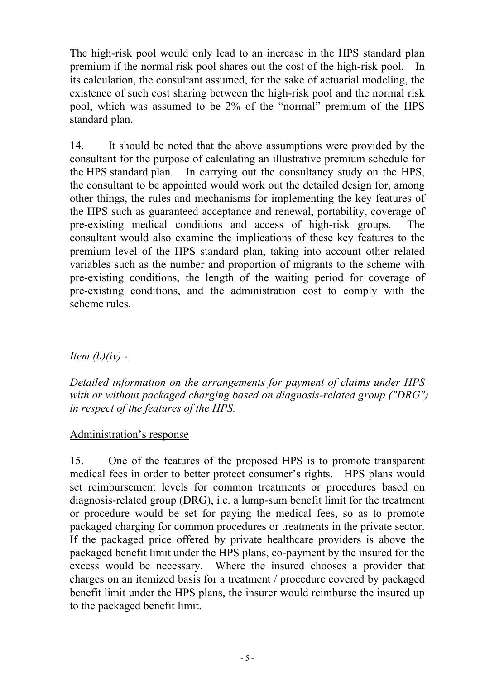The high-risk pool would only lead to an increase in the HPS standard plan premium if the normal risk pool shares out the cost of the high-risk pool. In its calculation, the consultant assumed, for the sake of actuarial modeling, the existence of such cost sharing between the high-risk pool and the normal risk pool, which was assumed to be 2% of the "normal" premium of the HPS standard plan.

14. It should be noted that the above assumptions were provided by the consultant for the purpose of calculating an illustrative premium schedule for the HPS standard plan. In carrying out the consultancy study on the HPS, the consultant to be appointed would work out the detailed design for, among other things, the rules and mechanisms for implementing the key features of the HPS such as guaranteed acceptance and renewal, portability, coverage of pre-existing medical conditions and access of high-risk groups. The consultant would also examine the implications of these key features to the premium level of the HPS standard plan, taking into account other related variables such as the number and proportion of migrants to the scheme with pre-existing conditions, the length of the waiting period for coverage of pre-existing conditions, and the administration cost to comply with the scheme rules.

# *Item (b)(iv) -*

*Detailed information on the arrangements for payment of claims under HPS with or without packaged charging based on diagnosis-related group ("DRG") in respect of the features of the HPS.* 

### Administration's response

15. One of the features of the proposed HPS is to promote transparent medical fees in order to better protect consumer's rights. HPS plans would set reimbursement levels for common treatments or procedures based on diagnosis-related group (DRG), i.e. a lump-sum benefit limit for the treatment or procedure would be set for paying the medical fees, so as to promote packaged charging for common procedures or treatments in the private sector. If the packaged price offered by private healthcare providers is above the packaged benefit limit under the HPS plans, co-payment by the insured for the excess would be necessary. Where the insured chooses a provider that charges on an itemized basis for a treatment / procedure covered by packaged benefit limit under the HPS plans, the insurer would reimburse the insured up to the packaged benefit limit.